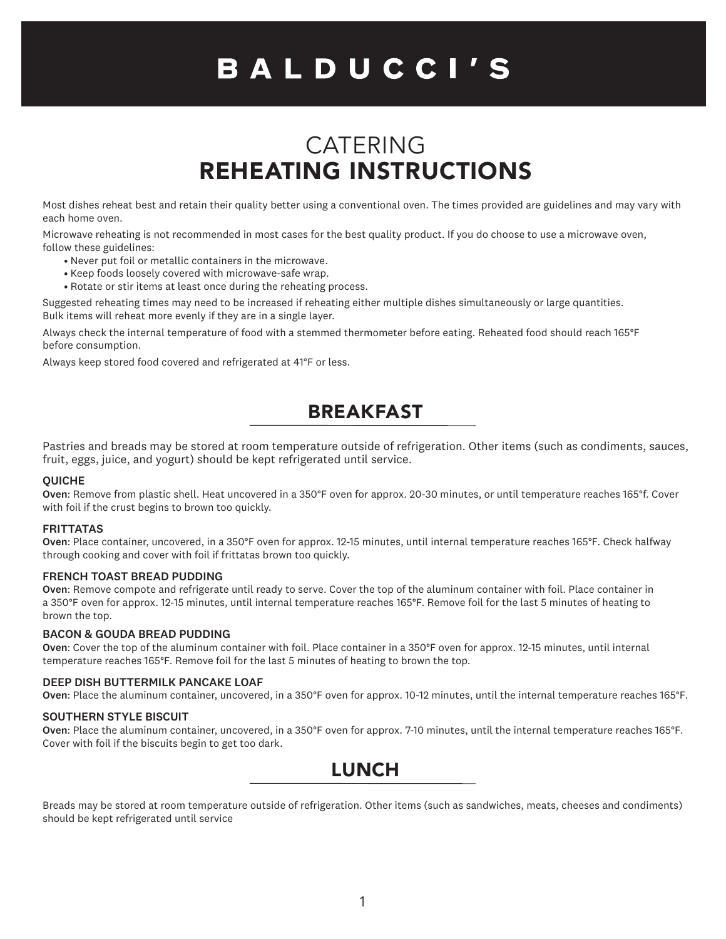# BALDUCCI'S

# CATERING REHEATING INSTRUCTIONS

Most dishes reheat best and retain their quality better using a conventional oven. The times provided are guidelines and may vary with each home oven.

Microwave reheating is not recommended in most cases for the best quality product. If you do choose to use a microwave oven, follow these guidelines:

- Never put foil or metallic containers in the microwave.
- Keep foods loosely covered with microwave-safe wrap.
- Rotate or stir items at least once during the reheating process.

Suggested reheating times may need to be increased if reheating either multiple dishes simultaneously or large quantities. Bulk items will reheat more evenly if they are in a single layer.

Always check the internal temperature of food with a stemmed thermometer before eating. Reheated food should reach 165°F before consumption.

Always keep stored food covered and refrigerated at 41°F or less.

# BREAKFAST

Pastries and breads may be stored at room temperature outside of refrigeration. Other items (such as condiments, sauces, fruit, eggs, juice, and yogurt) should be kept refrigerated until service.

#### QUICHE

Oven: Remove from plastic shell. Heat uncovered in a 350°F oven for approx. 20-30 minutes, or until temperature reaches 165°f. Cover with foil if the crust begins to brown too quickly.

#### **FRITTATAS**

Oven: Place container, uncovered, in a 350°F oven for approx. 12-15 minutes, until internal temperature reaches 165°F. Check halfway through cooking and cover with foil if frittatas brown too quickly.

#### FRENCH TOAST BREAD PUDDING

Oven: Remove compote and refrigerate until ready to serve. Cover the top of the aluminum container with foil. Place container in a 350°F oven for approx. 12-15 minutes, until internal temperature reaches 165°F. Remove foil for the last 5 minutes of heating to brown the top.

#### BACON & GOUDA BREAD PUDDING

Oven: Cover the top of the aluminum container with foil. Place container in a 350°F oven for approx. 12-15 minutes, until internal temperature reaches 165°F. Remove foil for the last 5 minutes of heating to brown the top.

#### DEEP DISH BUTTERMILK PANCAKE LOAF

Oven: Place the aluminum container, uncovered, in a 350°F oven for approx. 10-12 minutes, until the internal temperature reaches 165°F.

#### SOUTHERN STYLE BISCUIT

Oven: Place the aluminum container, uncovered, in a 350°F oven for approx. 7-10 minutes, until the internal temperature reaches 165°F. Cover with foil if the biscuits begin to get too dark.

### LUNCH

Breads may be stored at room temperature outside of refrigeration. Other items (such as sandwiches, meats, cheeses and condiments) should be kept refrigerated until service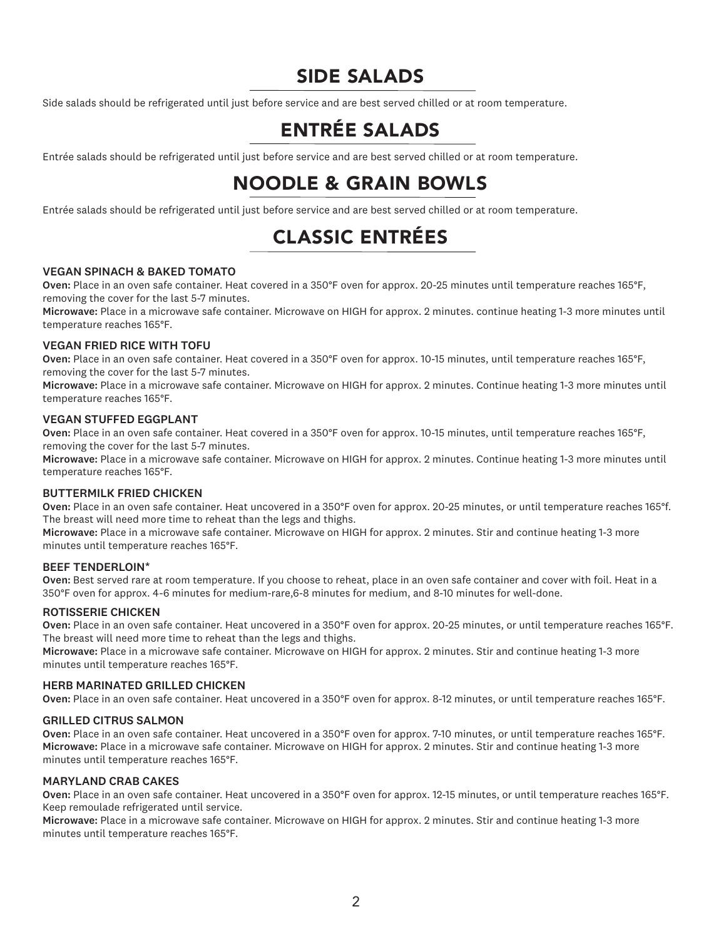# SIDE SALADS

Side salads should be refrigerated until just before service and are best served chilled or at room temperature.

# ENTRÉE SALADS

Entrée salads should be refrigerated until just before service and are best served chilled or at room temperature.

# NOODLE & GRAIN BOWLS

Entrée salads should be refrigerated until just before service and are best served chilled or at room temperature.

# CLASSIC ENTRÉES

#### VEGAN SPINACH & BAKED TOMATO

Oven: Place in an oven safe container. Heat covered in a 350°F oven for approx. 20-25 minutes until temperature reaches 165°F, removing the cover for the last 5-7 minutes.

Microwave: Place in a microwave safe container. Microwave on HIGH for approx. 2 minutes. continue heating 1-3 more minutes until temperature reaches 165°F.

#### VEGAN FRIED RICE WITH TOFU

Oven: Place in an oven safe container. Heat covered in a 350°F oven for approx. 10-15 minutes, until temperature reaches 165°F, removing the cover for the last 5-7 minutes.

Microwave: Place in a microwave safe container. Microwave on HIGH for approx. 2 minutes. Continue heating 1-3 more minutes until temperature reaches 165°F.

#### VEGAN STUFFED EGGPLANT

Oven: Place in an oven safe container. Heat covered in a 350°F oven for approx. 10-15 minutes, until temperature reaches 165°F, removing the cover for the last 5-7 minutes.

Microwave: Place in a microwave safe container. Microwave on HIGH for approx. 2 minutes. Continue heating 1-3 more minutes until temperature reaches 165°F.

#### BUTTERMILK FRIED CHICKEN

Oven: Place in an oven safe container. Heat uncovered in a 350°F oven for approx. 20-25 minutes, or until temperature reaches 165°f. The breast will need more time to reheat than the legs and thighs.

Microwave: Place in a microwave safe container. Microwave on HIGH for approx. 2 minutes. Stir and continue heating 1-3 more minutes until temperature reaches 165°F.

#### BEEF TENDERLOIN\*

Oven: Best served rare at room temperature. If you choose to reheat, place in an oven safe container and cover with foil. Heat in a 350°F oven for approx. 4-6 minutes for medium-rare,6-8 minutes for medium, and 8-10 minutes for well-done.

#### ROTISSERIE CHICKEN

Oven: Place in an oven safe container. Heat uncovered in a 350°F oven for approx. 20-25 minutes, or until temperature reaches 165°F. The breast will need more time to reheat than the legs and thighs.

Microwave: Place in a microwave safe container. Microwave on HIGH for approx. 2 minutes. Stir and continue heating 1-3 more minutes until temperature reaches 165°F.

#### HERB MARINATED GRILLED CHICKEN

Oven: Place in an oven safe container. Heat uncovered in a 350°F oven for approx. 8-12 minutes, or until temperature reaches 165°F.

#### GRILLED CITRUS SALMON

Oven: Place in an oven safe container. Heat uncovered in a 350°F oven for approx. 7-10 minutes, or until temperature reaches 165°F. Microwave: Place in a microwave safe container. Microwave on HIGH for approx. 2 minutes. Stir and continue heating 1-3 more minutes until temperature reaches 165°F.

#### MARYLAND CRAB CAKES

Oven: Place in an oven safe container. Heat uncovered in a 350°F oven for approx. 12-15 minutes, or until temperature reaches 165°F. Keep remoulade refrigerated until service.

Microwave: Place in a microwave safe container. Microwave on HIGH for approx. 2 minutes. Stir and continue heating 1-3 more minutes until temperature reaches 165°F.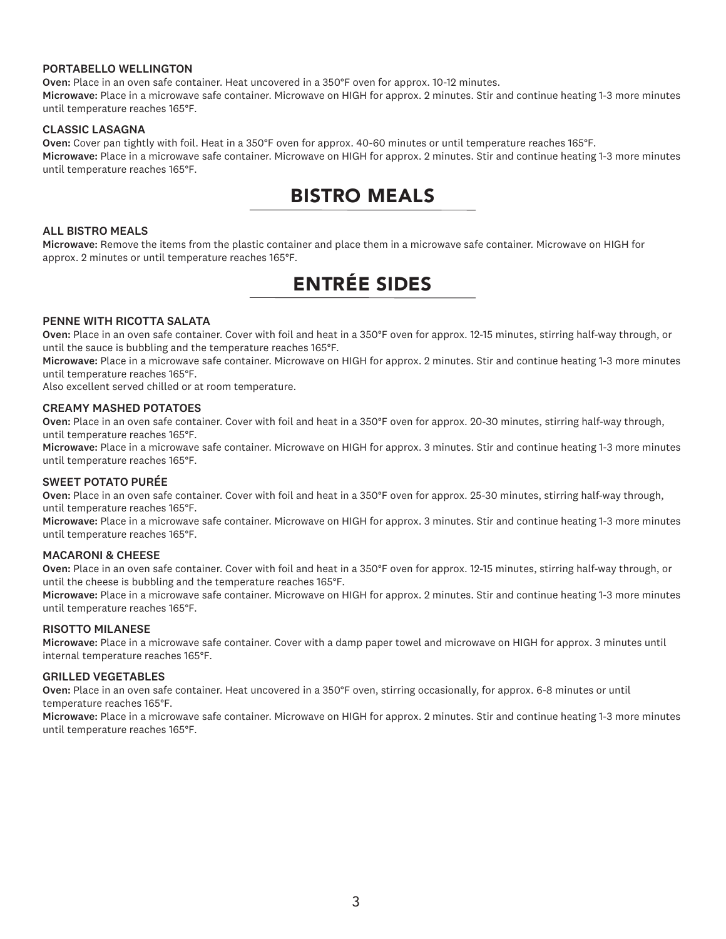#### PORTABELLO WELLINGTON

Oven: Place in an oven safe container. Heat uncovered in a 350°F oven for approx. 10-12 minutes. Microwave: Place in a microwave safe container. Microwave on HIGH for approx. 2 minutes. Stir and continue heating 1-3 more minutes until temperature reaches 165°F.

#### CLASSIC LASAGNA

Oven: Cover pan tightly with foil. Heat in a 350°F oven for approx. 40-60 minutes or until temperature reaches 165°F. Microwave: Place in a microwave safe container. Microwave on HIGH for approx. 2 minutes. Stir and continue heating 1-3 more minutes until temperature reaches 165°F.

# BISTRO MEALS

#### ALL BISTRO MEALS

Microwave: Remove the items from the plastic container and place them in a microwave safe container. Microwave on HIGH for approx. 2 minutes or until temperature reaches 165°F.

# ENTRÉE SIDES

#### PENNE WITH RICOTTA SALATA

Oven: Place in an oven safe container. Cover with foil and heat in a 350°F oven for approx. 12-15 minutes, stirring half-way through, or until the sauce is bubbling and the temperature reaches 165°F.

Microwave: Place in a microwave safe container. Microwave on HIGH for approx. 2 minutes. Stir and continue heating 1-3 more minutes until temperature reaches 165°F.

Also excellent served chilled or at room temperature.

#### CREAMY MASHED POTATOES

Oven: Place in an oven safe container. Cover with foil and heat in a 350°F oven for approx. 20-30 minutes, stirring half-way through, until temperature reaches 165°F.

Microwave: Place in a microwave safe container. Microwave on HIGH for approx. 3 minutes. Stir and continue heating 1-3 more minutes until temperature reaches 165°F.

#### SWEET POTATO PURÉE

Oven: Place in an oven safe container. Cover with foil and heat in a 350°F oven for approx. 25-30 minutes, stirring half-way through, until temperature reaches 165°F.

Microwave: Place in a microwave safe container. Microwave on HIGH for approx. 3 minutes. Stir and continue heating 1-3 more minutes until temperature reaches 165°F.

#### MACARONI & CHEESE

Oven: Place in an oven safe container. Cover with foil and heat in a 350°F oven for approx. 12-15 minutes, stirring half-way through, or until the cheese is bubbling and the temperature reaches 165°F.

Microwave: Place in a microwave safe container. Microwave on HIGH for approx. 2 minutes. Stir and continue heating 1-3 more minutes until temperature reaches 165°F.

#### RISOTTO MILANESE

Microwave: Place in a microwave safe container. Cover with a damp paper towel and microwave on HIGH for approx. 3 minutes until internal temperature reaches 165°F.

#### GRILLED VEGETABLES

Oven: Place in an oven safe container. Heat uncovered in a 350°F oven, stirring occasionally, for approx. 6-8 minutes or until temperature reaches 165°F.

Microwave: Place in a microwave safe container. Microwave on HIGH for approx. 2 minutes. Stir and continue heating 1-3 more minutes until temperature reaches 165°F.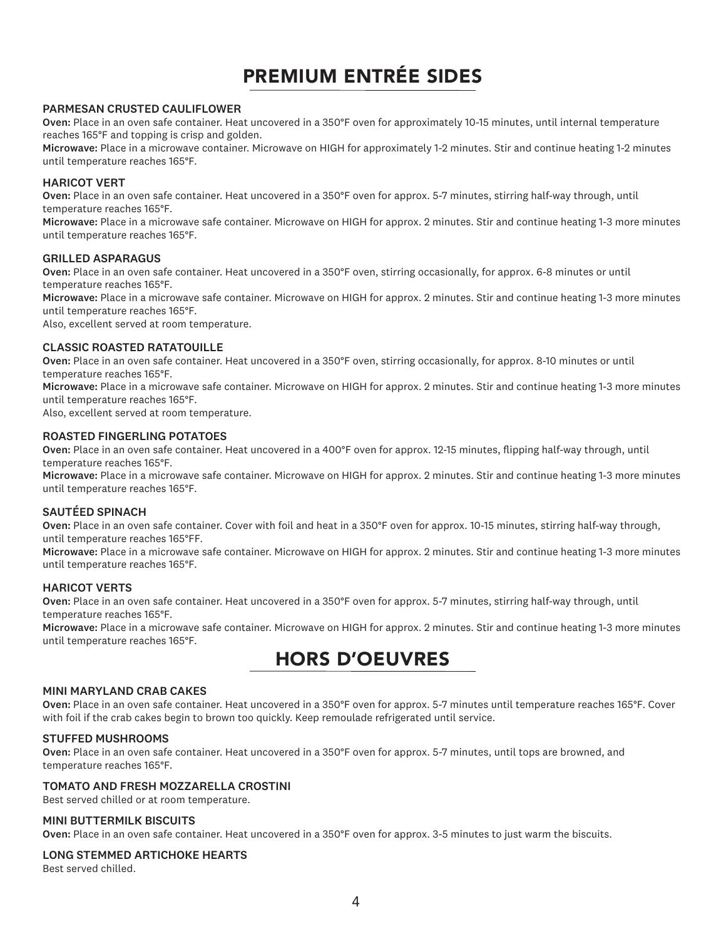# PREMIUM ENTRÉE SIDES

#### PARMESAN CRUSTED CAULIFLOWER

Oven: Place in an oven safe container. Heat uncovered in a 350°F oven for approximately 10-15 minutes, until internal temperature reaches 165°F and topping is crisp and golden.

Microwave: Place in a microwave container. Microwave on HIGH for approximately 1-2 minutes. Stir and continue heating 1-2 minutes until temperature reaches 165°F.

#### HARICOT VERT

Oven: Place in an oven safe container. Heat uncovered in a 350°F oven for approx. 5-7 minutes, stirring half-way through, until temperature reaches 165°F.

Microwave: Place in a microwave safe container. Microwave on HIGH for approx. 2 minutes. Stir and continue heating 1-3 more minutes until temperature reaches 165°F.

#### GRILLED ASPARAGUS

Oven: Place in an oven safe container. Heat uncovered in a 350°F oven, stirring occasionally, for approx. 6-8 minutes or until temperature reaches 165°F.

Microwave: Place in a microwave safe container. Microwave on HIGH for approx. 2 minutes. Stir and continue heating 1-3 more minutes until temperature reaches 165°F.

Also, excellent served at room temperature.

#### CLASSIC ROASTED RATATOUILLE

Oven: Place in an oven safe container. Heat uncovered in a 350°F oven, stirring occasionally, for approx. 8-10 minutes or until temperature reaches 165°F.

Microwave: Place in a microwave safe container. Microwave on HIGH for approx. 2 minutes. Stir and continue heating 1-3 more minutes until temperature reaches 165°F.

Also, excellent served at room temperature.

#### ROASTED FINGERLING POTATOES

Oven: Place in an oven safe container. Heat uncovered in a 400°F oven for approx. 12-15 minutes, flipping half-way through, until temperature reaches 165°F.

Microwave: Place in a microwave safe container. Microwave on HIGH for approx. 2 minutes. Stir and continue heating 1-3 more minutes until temperature reaches 165°F.

#### SAUTÉED SPINACH

Oven: Place in an oven safe container. Cover with foil and heat in a 350°F oven for approx. 10-15 minutes, stirring half-way through, until temperature reaches 165°FF.

Microwave: Place in a microwave safe container. Microwave on HIGH for approx. 2 minutes. Stir and continue heating 1-3 more minutes until temperature reaches 165°F.

#### HARICOT VERTS

Oven: Place in an oven safe container. Heat uncovered in a 350°F oven for approx. 5-7 minutes, stirring half-way through, until temperature reaches 165°F.

Microwave: Place in a microwave safe container. Microwave on HIGH for approx. 2 minutes. Stir and continue heating 1-3 more minutes until temperature reaches 165°F.

# HORS D'OEUVRES

#### MINI MARYLAND CRAB CAKES

Oven: Place in an oven safe container. Heat uncovered in a 350°F oven for approx. 5-7 minutes until temperature reaches 165°F. Cover with foil if the crab cakes begin to brown too quickly. Keep remoulade refrigerated until service.

#### STUFFED MUSHROOMS

Oven: Place in an oven safe container. Heat uncovered in a 350°F oven for approx. 5-7 minutes, until tops are browned, and temperature reaches 165°F.

#### TOMATO AND FRESH MOZZARELLA CROSTINI

Best served chilled or at room temperature.

#### MINI BUTTERMILK BISCUITS

Oven: Place in an oven safe container. Heat uncovered in a 350°F oven for approx. 3-5 minutes to just warm the biscuits.

#### LONG STEMMED ARTICHOKE HEARTS

Best served chilled.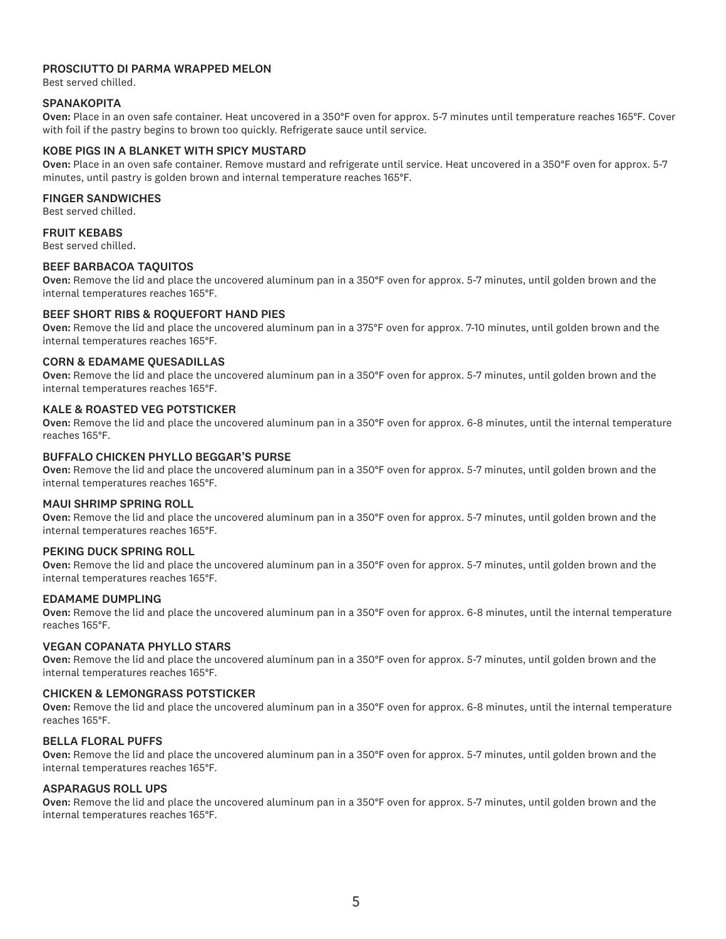#### PROSCIUTTO DI PARMA WRAPPED MELON

Best served chilled.

#### **SPANAKOPITA**

Oven: Place in an oven safe container. Heat uncovered in a 350°F oven for approx. 5-7 minutes until temperature reaches 165°F. Cover with foil if the pastry begins to brown too quickly. Refrigerate sauce until service.

#### KOBE PIGS IN A BLANKET WITH SPICY MUSTARD

Oven: Place in an oven safe container. Remove mustard and refrigerate until service. Heat uncovered in a 350°F oven for approx. 5-7 minutes, until pastry is golden brown and internal temperature reaches 165°F.

#### FINGER SANDWICHES

Best served chilled.

#### FRUIT KEBABS

Best served chilled.

#### BEEF BARBACOA TAQUITOS

Oven: Remove the lid and place the uncovered aluminum pan in a 350°F oven for approx. 5-7 minutes, until golden brown and the internal temperatures reaches 165°F.

#### BEEF SHORT RIBS & ROQUEFORT HAND PIES

Oven: Remove the lid and place the uncovered aluminum pan in a 375°F oven for approx. 7-10 minutes, until golden brown and the internal temperatures reaches 165°F.

#### CORN & EDAMAME QUESADILLAS

Oven: Remove the lid and place the uncovered aluminum pan in a 350°F oven for approx. 5-7 minutes, until golden brown and the internal temperatures reaches 165°F.

#### KALE & ROASTED VEG POTSTICKER

Oven: Remove the lid and place the uncovered aluminum pan in a 350°F oven for approx. 6-8 minutes, until the internal temperature reaches 165°F.

#### BUFFALO CHICKEN PHYLLO BEGGAR'S PURSE

Oven: Remove the lid and place the uncovered aluminum pan in a 350°F oven for approx. 5-7 minutes, until golden brown and the internal temperatures reaches 165°F.

#### MAUI SHRIMP SPRING ROLL

Oven: Remove the lid and place the uncovered aluminum pan in a 350°F oven for approx. 5-7 minutes, until golden brown and the internal temperatures reaches 165°F.

#### PEKING DUCK SPRING ROLL

Oven: Remove the lid and place the uncovered aluminum pan in a 350°F oven for approx. 5-7 minutes, until golden brown and the internal temperatures reaches 165°F.

#### EDAMAME DUMPLING

Oven: Remove the lid and place the uncovered aluminum pan in a 350°F oven for approx. 6-8 minutes, until the internal temperature reaches 165°F.

#### VEGAN COPANATA PHYLLO STARS

Oven: Remove the lid and place the uncovered aluminum pan in a 350°F oven for approx. 5-7 minutes, until golden brown and the internal temperatures reaches 165°F.

#### CHICKEN & LEMONGRASS POTSTICKER

Oven: Remove the lid and place the uncovered aluminum pan in a 350°F oven for approx. 6-8 minutes, until the internal temperature reaches 165°F.

#### BELLA FLORAL PUFFS

Oven: Remove the lid and place the uncovered aluminum pan in a 350°F oven for approx. 5-7 minutes, until golden brown and the internal temperatures reaches 165°F.

#### ASPARAGUS ROLL UPS

Oven: Remove the lid and place the uncovered aluminum pan in a 350°F oven for approx. 5-7 minutes, until golden brown and the internal temperatures reaches 165°F.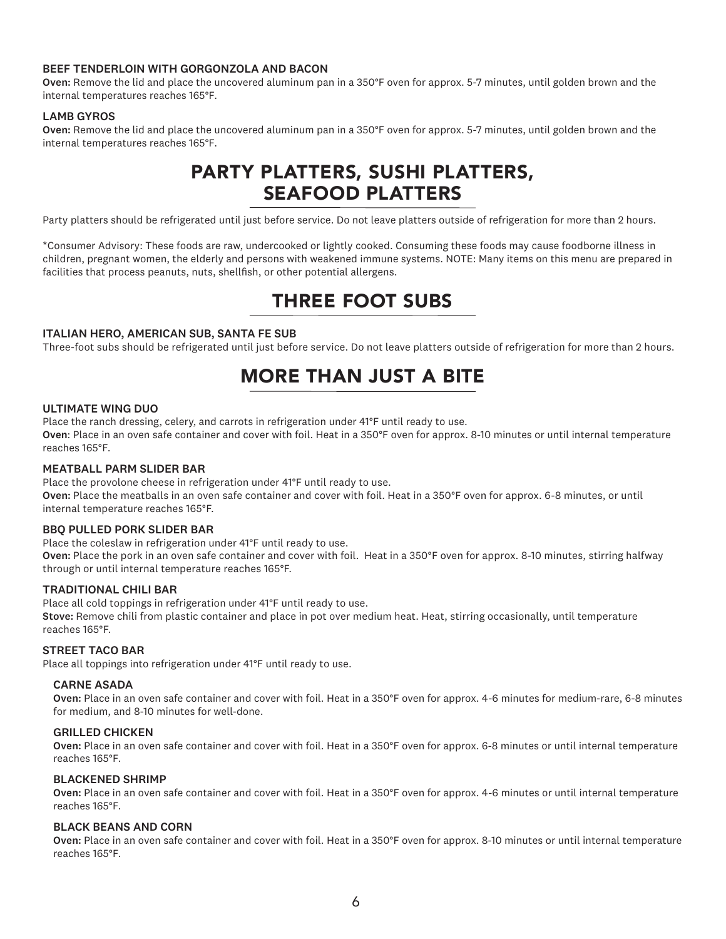#### BEEF TENDERLOIN WITH GORGONZOLA AND BACON

Oven: Remove the lid and place the uncovered aluminum pan in a 350°F oven for approx. 5-7 minutes, until golden brown and the internal temperatures reaches 165°F.

#### LAMB GYROS

Oven: Remove the lid and place the uncovered aluminum pan in a 350°F oven for approx. 5-7 minutes, until golden brown and the internal temperatures reaches 165°F.

# PARTY PLATTERS, SUSHI PLATTERS, SEAFOOD PLATTERS

Party platters should be refrigerated until just before service. Do not leave platters outside of refrigeration for more than 2 hours.

\*Consumer Advisory: These foods are raw, undercooked or lightly cooked. Consuming these foods may cause foodborne illness in children, pregnant women, the elderly and persons with weakened immune systems. NOTE: Many items on this menu are prepared in facilities that process peanuts, nuts, shellfish, or other potential allergens.

### THREE FOOT SUBS

#### ITALIAN HERO, AMERICAN SUB, SANTA FE SUB

Three-foot subs should be refrigerated until just before service. Do not leave platters outside of refrigeration for more than 2 hours.

# MORE THAN JUST A BITE

#### ULTIMATE WING DUO

Place the ranch dressing, celery, and carrots in refrigeration under 41°F until ready to use.

Oven: Place in an oven safe container and cover with foil. Heat in a 350°F oven for approx. 8-10 minutes or until internal temperature reaches 165°F.

#### MEATBALL PARM SLIDER BAR

Place the provolone cheese in refrigeration under 41°F until ready to use. Oven: Place the meatballs in an oven safe container and cover with foil. Heat in a 350°F oven for approx. 6-8 minutes, or until internal temperature reaches 165°F.

#### BBQ PULLED PORK SLIDER BAR

through or until internal temperature reaches 165°F.

Place the coleslaw in refrigeration under 41°F until ready to use. Oven: Place the pork in an oven safe container and cover with foil. Heat in a 350°F oven for approx. 8-10 minutes, stirring halfway

#### TRADITIONAL CHILI BAR

Place all cold toppings in refrigeration under 41°F until ready to use. Stove: Remove chili from plastic container and place in pot over medium heat. Heat, stirring occasionally, until temperature reaches 165°F.

#### STREET TACO BAR

Place all toppings into refrigeration under 41°F until ready to use.

#### CARNE ASADA

 Oven: Place in an oven safe container and cover with foil. Heat in a 350°F oven for approx. 4-6 minutes for medium-rare, 6-8 minutes for medium, and 8-10 minutes for well-done.

#### GRILLED CHICKEN

 Oven: Place in an oven safe container and cover with foil. Heat in a 350°F oven for approx. 6-8 minutes or until internal temperature reaches 165°F.

#### BLACKENED SHRIMP

 Oven: Place in an oven safe container and cover with foil. Heat in a 350°F oven for approx. 4-6 minutes or until internal temperature reaches 165°F.

#### BLACK BEANS AND CORN

 Oven: Place in an oven safe container and cover with foil. Heat in a 350°F oven for approx. 8-10 minutes or until internal temperature reaches 165°F.